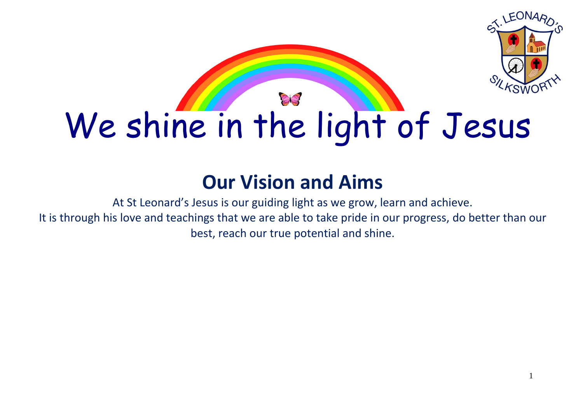

# **Our Vision and Aims**

At St Leonard's Jesus is our guiding light as we grow, learn and achieve. It is through his love and teachings that we are able to take pride in our progress, do better than our best, reach our true potential and shine.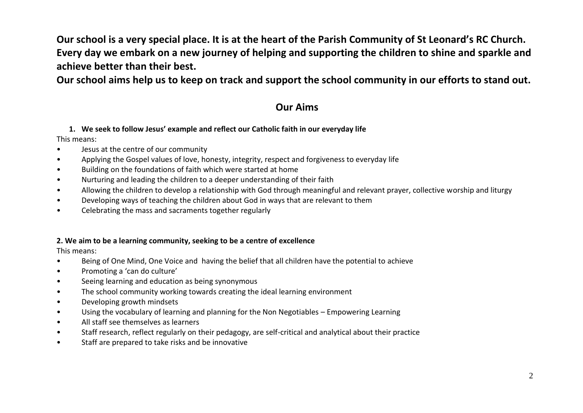**Our school is a very special place. It is at the heart of the Parish Community of St Leonard's RC Church. Every day we embark on a new journey of helping and supporting the children to shine and sparkle and achieve better than their best.** 

**Our school aims help us to keep on track and support the school community in our efforts to stand out.**

## **Our Aims**

### **1. We seek to follow Jesus' example and reflect our Catholic faith in our everyday life**

This means:

- Jesus at the centre of our community
- Applying the Gospel values of love, honesty, integrity, respect and forgiveness to everyday life
- Building on the foundations of faith which were started at home
- Nurturing and leading the children to a deeper understanding of their faith
- Allowing the children to develop a relationship with God through meaningful and relevant prayer, collective worship and liturgy
- Developing ways of teaching the children about God in ways that are relevant to them
- Celebrating the mass and sacraments together regularly

## **2. We aim to be a learning community, seeking to be a centre of excellence**

This means:

- Being of One Mind, One Voice and having the belief that all children have the potential to achieve
- Promoting a 'can do culture'
- Seeing learning and education as being synonymous
- The school community working towards creating the ideal learning environment
- Developing growth mindsets
- Using the vocabulary of learning and planning for the Non Negotiables Empowering Learning
- All staff see themselves as learners
- Staff research, reflect regularly on their pedagogy, are self-critical and analytical about their practice
- Staff are prepared to take risks and be innovative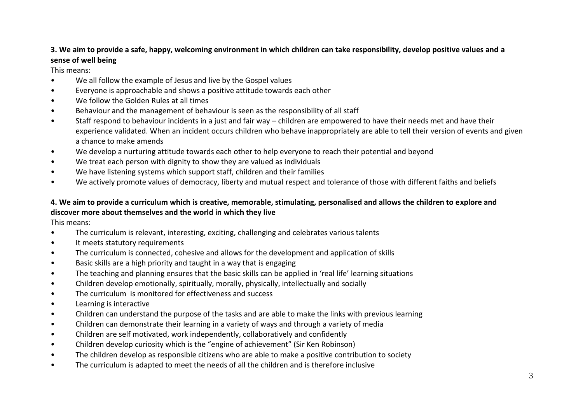## **3. We aim to provide a safe, happy, welcoming environment in which children can take responsibility, develop positive values and a sense of well being**

This means:

- We all follow the example of Jesus and live by the Gospel values
- Everyone is approachable and shows a positive attitude towards each other
- We follow the Golden Rules at all times
- Behaviour and the management of behaviour is seen as the responsibility of all staff
- Staff respond to behaviour incidents in a just and fair way children are empowered to have their needs met and have their experience validated. When an incident occurs children who behave inappropriately are able to tell their version of events and given a chance to make amends
- We develop a nurturing attitude towards each other to help everyone to reach their potential and beyond
- We treat each person with dignity to show they are valued as individuals
- We have listening systems which support staff, children and their families
- We actively promote values of democracy, liberty and mutual respect and tolerance of those with different faiths and beliefs

## **4. We aim to provide a curriculum which is creative, memorable, stimulating, personalised and allows the children to explore and discover more about themselves and the world in which they live**

This means:

- The curriculum is relevant, interesting, exciting, challenging and celebrates various talents
- It meets statutory requirements
- The curriculum is connected, cohesive and allows for the development and application of skills
- Basic skills are a high priority and taught in a way that is engaging
- The teaching and planning ensures that the basic skills can be applied in 'real life' learning situations
- Children develop emotionally, spiritually, morally, physically, intellectually and socially
- The curriculum is monitored for effectiveness and success
- Learning is interactive
- Children can understand the purpose of the tasks and are able to make the links with previous learning
- Children can demonstrate their learning in a variety of ways and through a variety of media
- Children are self motivated, work independently, collaboratively and confidently
- Children develop curiosity which is the "engine of achievement" (Sir Ken Robinson)
- The children develop as responsible citizens who are able to make a positive contribution to society
- The curriculum is adapted to meet the needs of all the children and is therefore inclusive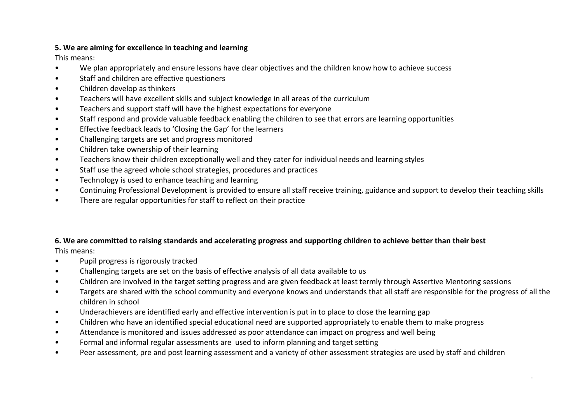## **5. We are aiming for excellence in teaching and learning**

This means:

- We plan appropriately and ensure lessons have clear objectives and the children know how to achieve success
- Staff and children are effective questioners
- Children develop as thinkers
- Teachers will have excellent skills and subject knowledge in all areas of the curriculum
- Teachers and support staff will have the highest expectations for everyone
- Staff respond and provide valuable feedback enabling the children to see that errors are learning opportunities
- Effective feedback leads to 'Closing the Gap' for the learners
- Challenging targets are set and progress monitored
- Children take ownership of their learning
- Teachers know their children exceptionally well and they cater for individual needs and learning styles
- Staff use the agreed whole school strategies, procedures and practices
- Technology is used to enhance teaching and learning
- Continuing Professional Development is provided to ensure all staff receive training, guidance and support to develop their teaching skills
- There are regular opportunities for staff to reflect on their practice

#### **6. We are committed to raising standards and accelerating progress and supporting children to achieve better than their best**

This means:

- Pupil progress is rigorously tracked
- Challenging targets are set on the basis of effective analysis of all data available to us
- Children are involved in the target setting progress and are given feedback at least termly through Assertive Mentoring sessions
- Targets are shared with the school community and everyone knows and understands that all staff are responsible for the progress of all the children in school

4

- Underachievers are identified early and effective intervention is put in to place to close the learning gap
- Children who have an identified special educational need are supported appropriately to enable them to make progress
- Attendance is monitored and issues addressed as poor attendance can impact on progress and well being
- Formal and informal regular assessments are used to inform planning and target setting
- Peer assessment, pre and post learning assessment and a variety of other assessment strategies are used by staff and children